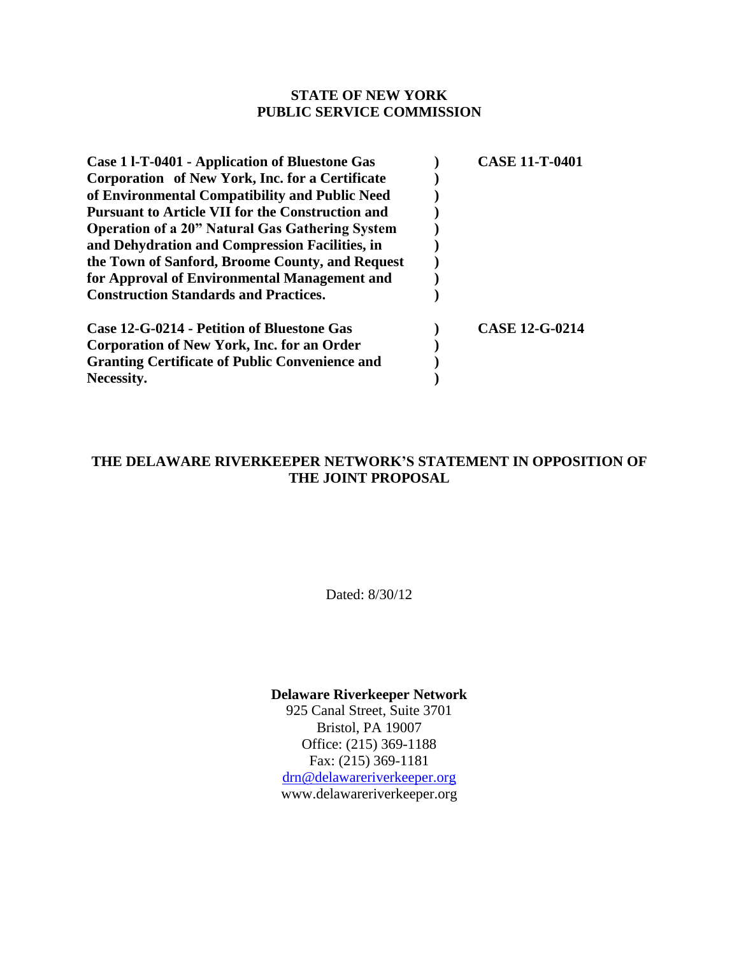### **STATE OF NEW YORK PUBLIC SERVICE COMMISSION**

| Case 1 1-T-0401 - Application of Bluestone Gas          | <b>CASE 11-T-0401</b> |
|---------------------------------------------------------|-----------------------|
| Corporation of New York, Inc. for a Certificate         |                       |
| of Environmental Compatibility and Public Need          |                       |
| <b>Pursuant to Article VII for the Construction and</b> |                       |
| <b>Operation of a 20" Natural Gas Gathering System</b>  |                       |
| and Dehydration and Compression Facilities, in          |                       |
| the Town of Sanford, Broome County, and Request         |                       |
| for Approval of Environmental Management and            |                       |
| <b>Construction Standards and Practices.</b>            |                       |
| Case 12-G-0214 - Petition of Bluestone Gas              | <b>CASE 12-G-0214</b> |
| Corporation of New York, Inc. for an Order              |                       |
| <b>Granting Certificate of Public Convenience and</b>   |                       |
| Necessity.                                              |                       |

### **THE DELAWARE RIVERKEEPER NETWORK'S STATEMENT IN OPPOSITION OF THE JOINT PROPOSAL**

Dated: 8/30/12

### **Delaware Riverkeeper Network**

925 Canal Street, Suite 3701 Bristol, PA 19007 Office: (215) 369-1188 Fax: (215) 369-1181 [drn@delawareriverkeeper.org](mailto:drn@delawareriverkeeper.org) www.delawareriverkeeper.org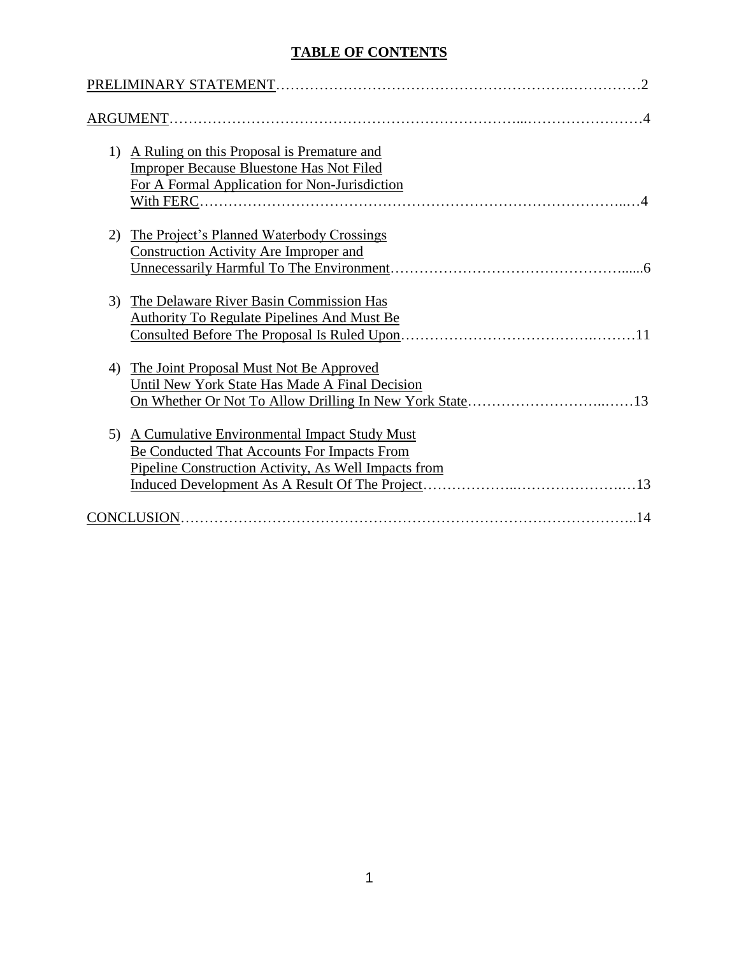## **TABLE OF CONTENTS**

| $\cdot$ 2                                                                                                                                                        |
|------------------------------------------------------------------------------------------------------------------------------------------------------------------|
|                                                                                                                                                                  |
| A Ruling on this Proposal is Premature and<br>1)<br>Improper Because Bluestone Has Not Filed<br>For A Formal Application for Non-Jurisdiction                    |
| The Project's Planned Waterbody Crossings<br>2)<br><b>Construction Activity Are Improper and</b>                                                                 |
| The Delaware River Basin Commission Has<br>3)<br><b>Authority To Regulate Pipelines And Must Be</b>                                                              |
| The Joint Proposal Must Not Be Approved<br>4)<br>Until New York State Has Made A Final Decision<br>13                                                            |
| A Cumulative Environmental Impact Study Must<br>5)<br><b>Be Conducted That Accounts For Impacts From</b><br>Pipeline Construction Activity, As Well Impacts from |
|                                                                                                                                                                  |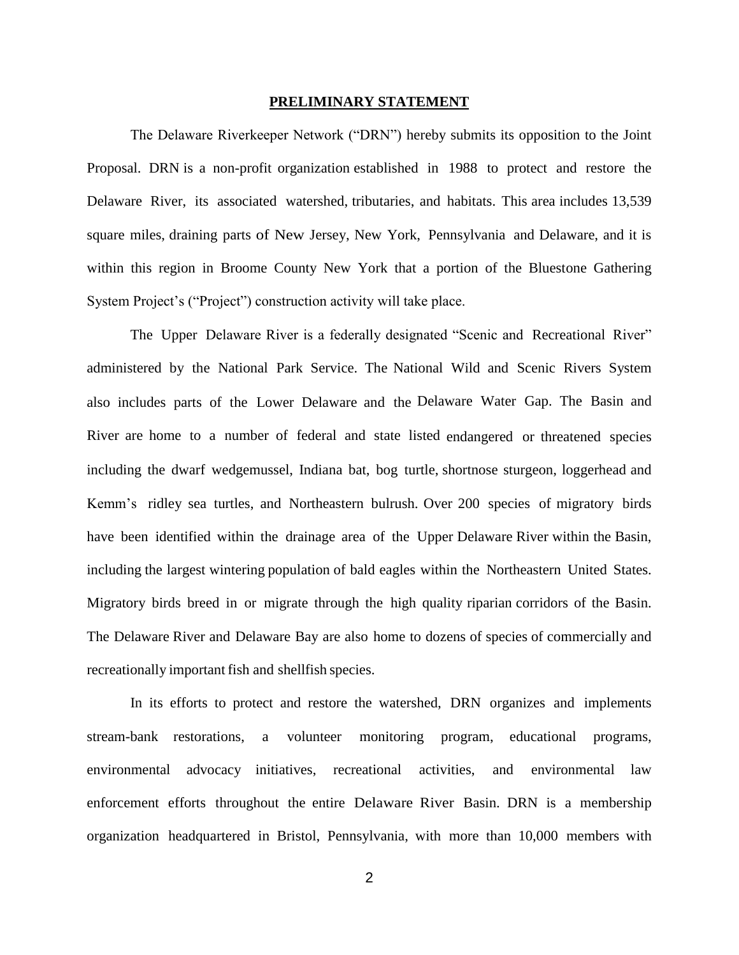### **PRELIMINARY STATEMENT**

The Delaware Riverkeeper Network ("DRN") hereby submits its opposition to the Joint Proposal. DRN is a non-profit organization established in 1988 to protect and restore the Delaware River, its associated watershed, tributaries, and habitats. This area includes 13,539 square miles, draining parts of New Jersey, New York, Pennsylvania and Delaware, and it is within this region in Broome County New York that a portion of the Bluestone Gathering System Project's ("Project") construction activity will take place.

The Upper Delaware River is a federally designated "Scenic and Recreational River" administered by the National Park Service. The National Wild and Scenic Rivers System also includes parts of the Lower Delaware and the Delaware Water Gap. The Basin and River are home to a number of federal and state listed endangered or threatened species including the dwarf wedgemussel, Indiana bat, bog turtle, shortnose sturgeon, loggerhead and Kemm's ridley sea turtles, and Northeastern bulrush. Over 200 species of migratory birds have been identified within the drainage area of the Upper Delaware River within the Basin, including the largest wintering population of bald eagles within the Northeastern United States. Migratory birds breed in or migrate through the high quality riparian corridors of the Basin. The Delaware River and Delaware Bay are also home to dozens of species of commercially and recreationally important fish and shellfish species.

In its efforts to protect and restore the watershed, DRN organizes and implements stream-bank restorations, a volunteer monitoring program, educational programs, environmental advocacy initiatives, recreational activities, and environmental law enforcement efforts throughout the entire Delaware River Basin. DRN is a membership organization headquartered in Bristol, Pennsylvania, with more than 10,000 members with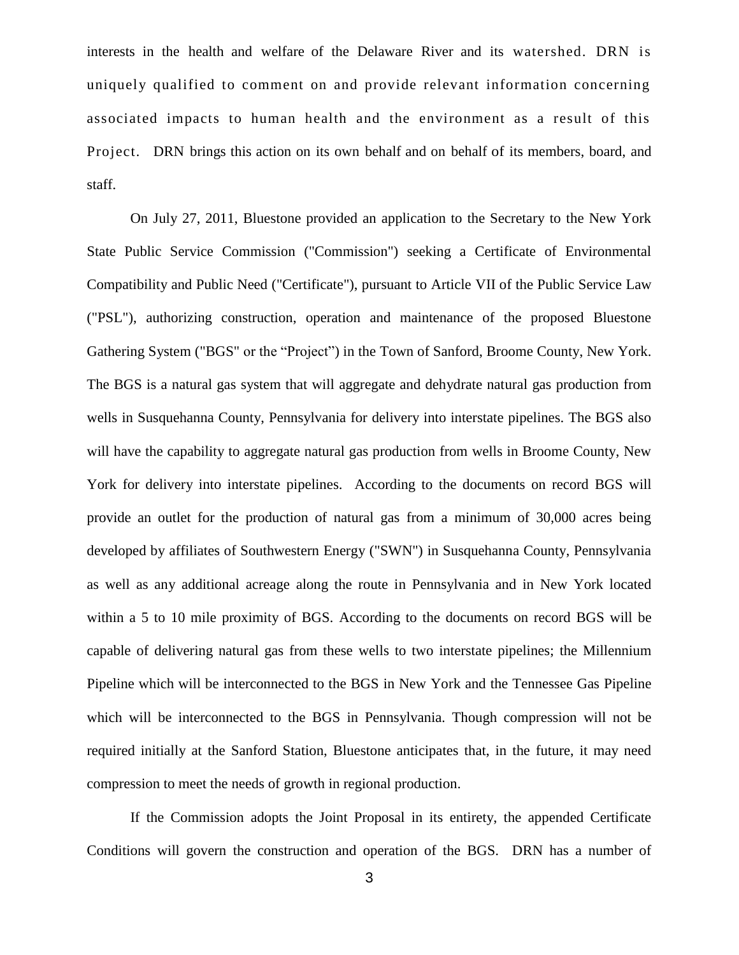interests in the health and welfare of the Delaware River and its watershed. DRN is uniquely qualified to comment on and provide relevant information concerning associated impacts to human health and the environment as a result of this Project. DRN brings this action on its own behalf and on behalf of its members, board, and staff.

On July 27, 2011, Bluestone provided an application to the Secretary to the New York State Public Service Commission ("Commission") seeking a Certificate of Environmental Compatibility and Public Need ("Certificate"), pursuant to Article VII of the Public Service Law ("PSL"), authorizing construction, operation and maintenance of the proposed Bluestone Gathering System ("BGS" or the "Project") in the Town of Sanford, Broome County, New York. The BGS is a natural gas system that will aggregate and dehydrate natural gas production from wells in Susquehanna County, Pennsylvania for delivery into interstate pipelines. The BGS also will have the capability to aggregate natural gas production from wells in Broome County, New York for delivery into interstate pipelines. According to the documents on record BGS will provide an outlet for the production of natural gas from a minimum of 30,000 acres being developed by affiliates of Southwestern Energy ("SWN") in Susquehanna County, Pennsylvania as well as any additional acreage along the route in Pennsylvania and in New York located within a 5 to 10 mile proximity of BGS. According to the documents on record BGS will be capable of delivering natural gas from these wells to two interstate pipelines; the Millennium Pipeline which will be interconnected to the BGS in New York and the Tennessee Gas Pipeline which will be interconnected to the BGS in Pennsylvania. Though compression will not be required initially at the Sanford Station, Bluestone anticipates that, in the future, it may need compression to meet the needs of growth in regional production.

If the Commission adopts the Joint Proposal in its entirety, the appended Certificate Conditions will govern the construction and operation of the BGS. DRN has a number of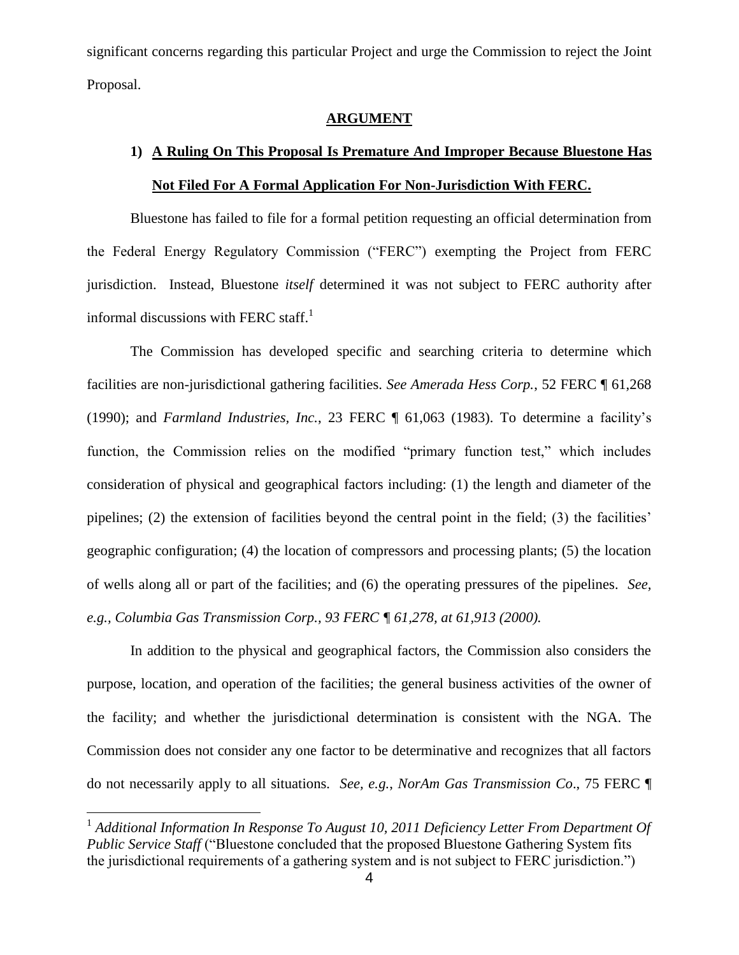significant concerns regarding this particular Project and urge the Commission to reject the Joint Proposal.

#### **ARGUMENT**

# **1) A Ruling On This Proposal Is Premature And Improper Because Bluestone Has Not Filed For A Formal Application For Non-Jurisdiction With FERC.**

Bluestone has failed to file for a formal petition requesting an official determination from the Federal Energy Regulatory Commission ("FERC") exempting the Project from FERC jurisdiction. Instead, Bluestone *itself* determined it was not subject to FERC authority after informal discussions with FERC staff.<sup>1</sup>

The Commission has developed specific and searching criteria to determine which facilities are non-jurisdictional gathering facilities. *See Amerada Hess Corp.*, 52 FERC ¶ 61,268 (1990); and *Farmland Industries, Inc.*, 23 FERC ¶ 61,063 (1983). To determine a facility's function, the Commission relies on the modified "primary function test," which includes consideration of physical and geographical factors including: (1) the length and diameter of the pipelines; (2) the extension of facilities beyond the central point in the field; (3) the facilities' geographic configuration; (4) the location of compressors and processing plants; (5) the location of wells along all or part of the facilities; and (6) the operating pressures of the pipelines. *See, e.g., Columbia Gas Transmission Corp., 93 FERC ¶ 61,278, at 61,913 (2000).*

In addition to the physical and geographical factors, the Commission also considers the purpose, location, and operation of the facilities; the general business activities of the owner of the facility; and whether the jurisdictional determination is consistent with the NGA. The Commission does not consider any one factor to be determinative and recognizes that all factors do not necessarily apply to all situations*. See, e.g.*, *NorAm Gas Transmission Co*., 75 FERC ¶

<sup>&</sup>lt;sup>1</sup> Additional Information In Response To August 10, 2011 Deficiency Letter From Department Of *Public Service Staff* ("Bluestone concluded that the proposed Bluestone Gathering System fits the jurisdictional requirements of a gathering system and is not subject to FERC jurisdiction.")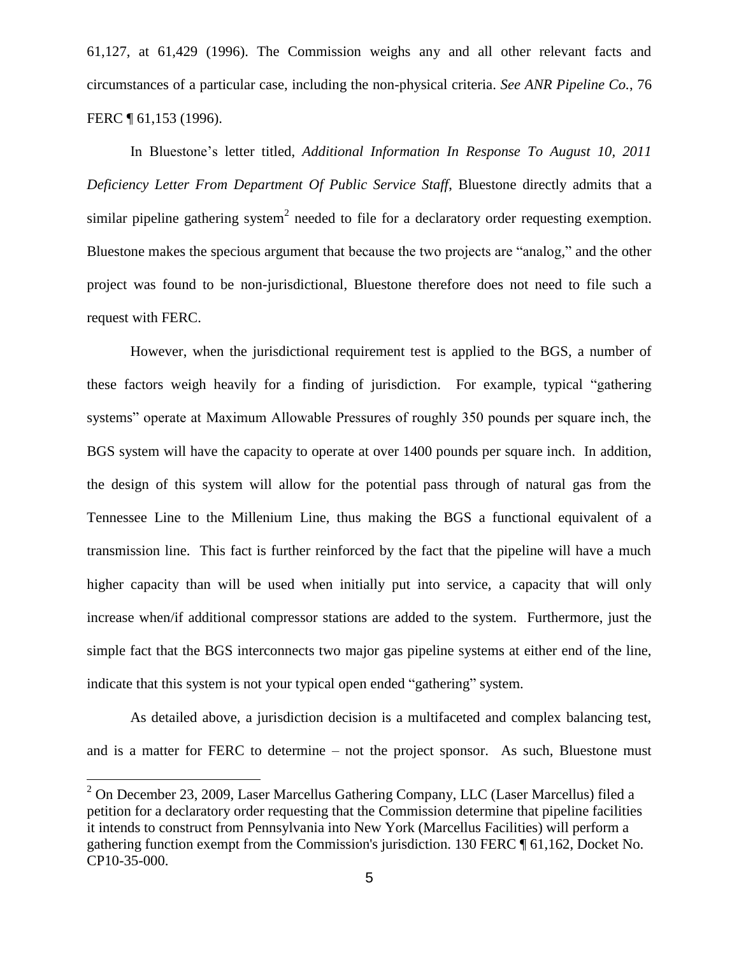61,127, at 61,429 (1996). The Commission weighs any and all other relevant facts and circumstances of a particular case, including the non-physical criteria. *See ANR Pipeline Co.*, 76 FERC ¶ 61,153 (1996).

In Bluestone's letter titled, *Additional Information In Response To August 10, 2011 Deficiency Letter From Department Of Public Service Staff*, Bluestone directly admits that a similar pipeline gathering system<sup>2</sup> needed to file for a declaratory order requesting exemption. Bluestone makes the specious argument that because the two projects are "analog," and the other project was found to be non-jurisdictional, Bluestone therefore does not need to file such a request with FERC.

However, when the jurisdictional requirement test is applied to the BGS, a number of these factors weigh heavily for a finding of jurisdiction. For example, typical "gathering systems" operate at Maximum Allowable Pressures of roughly 350 pounds per square inch, the BGS system will have the capacity to operate at over 1400 pounds per square inch. In addition, the design of this system will allow for the potential pass through of natural gas from the Tennessee Line to the Millenium Line, thus making the BGS a functional equivalent of a transmission line. This fact is further reinforced by the fact that the pipeline will have a much higher capacity than will be used when initially put into service, a capacity that will only increase when/if additional compressor stations are added to the system. Furthermore, just the simple fact that the BGS interconnects two major gas pipeline systems at either end of the line, indicate that this system is not your typical open ended "gathering" system.

As detailed above, a jurisdiction decision is a multifaceted and complex balancing test, and is a matter for FERC to determine – not the project sponsor. As such, Bluestone must

 $^{2}$  On December 23, 2009, Laser Marcellus Gathering Company, LLC (Laser Marcellus) filed a petition for a declaratory order requesting that the Commission determine that pipeline facilities it intends to construct from Pennsylvania into New York (Marcellus Facilities) will perform a gathering function exempt from the Commission's jurisdiction. 130 FERC ¶ 61,162, Docket No. CP10-35-000.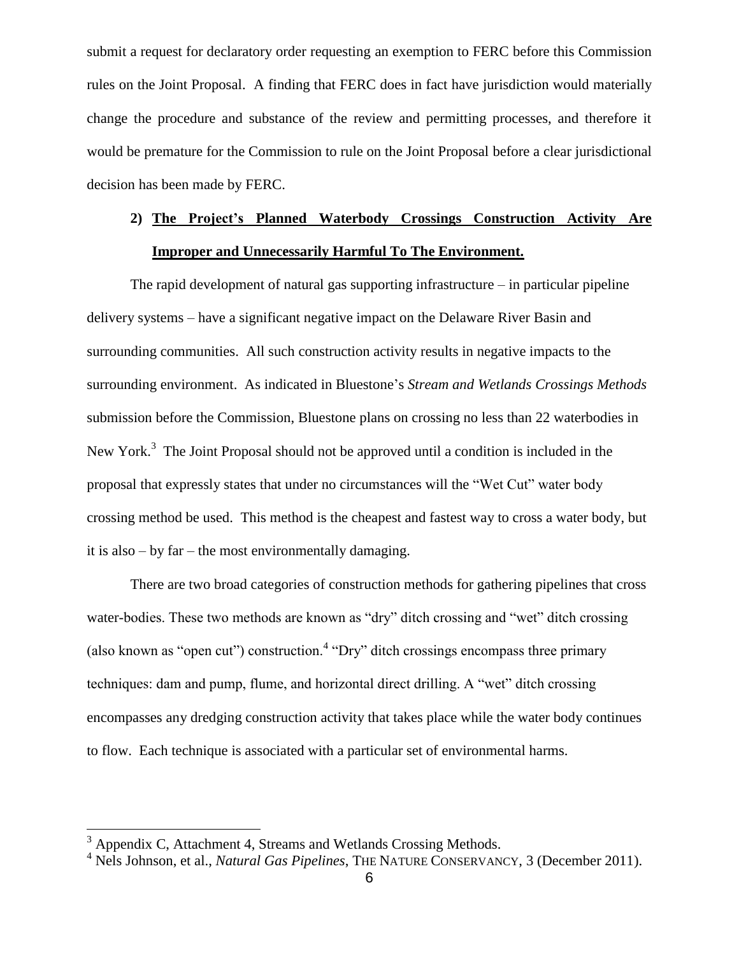submit a request for declaratory order requesting an exemption to FERC before this Commission rules on the Joint Proposal. A finding that FERC does in fact have jurisdiction would materially change the procedure and substance of the review and permitting processes, and therefore it would be premature for the Commission to rule on the Joint Proposal before a clear jurisdictional decision has been made by FERC.

# **2) The Project's Planned Waterbody Crossings Construction Activity Are Improper and Unnecessarily Harmful To The Environment.**

The rapid development of natural gas supporting infrastructure – in particular pipeline delivery systems – have a significant negative impact on the Delaware River Basin and surrounding communities. All such construction activity results in negative impacts to the surrounding environment. As indicated in Bluestone's *Stream and Wetlands Crossings Methods* submission before the Commission, Bluestone plans on crossing no less than 22 waterbodies in New York.<sup>3</sup> The Joint Proposal should not be approved until a condition is included in the proposal that expressly states that under no circumstances will the "Wet Cut" water body crossing method be used. This method is the cheapest and fastest way to cross a water body, but it is also – by far – the most environmentally damaging.

There are two broad categories of construction methods for gathering pipelines that cross water-bodies. These two methods are known as "dry" ditch crossing and "wet" ditch crossing (also known as "open cut") construction.<sup>4</sup> "Dry" ditch crossings encompass three primary techniques: dam and pump, flume, and horizontal direct drilling. A "wet" ditch crossing encompasses any dredging construction activity that takes place while the water body continues to flow. Each technique is associated with a particular set of environmental harms.

 $3$  Appendix C, Attachment 4, Streams and Wetlands Crossing Methods.

<sup>&</sup>lt;sup>4</sup> Nels Johnson, et al., *Natural Gas Pipelines*, THE NATURE CONSERVANCY, 3 (December 2011).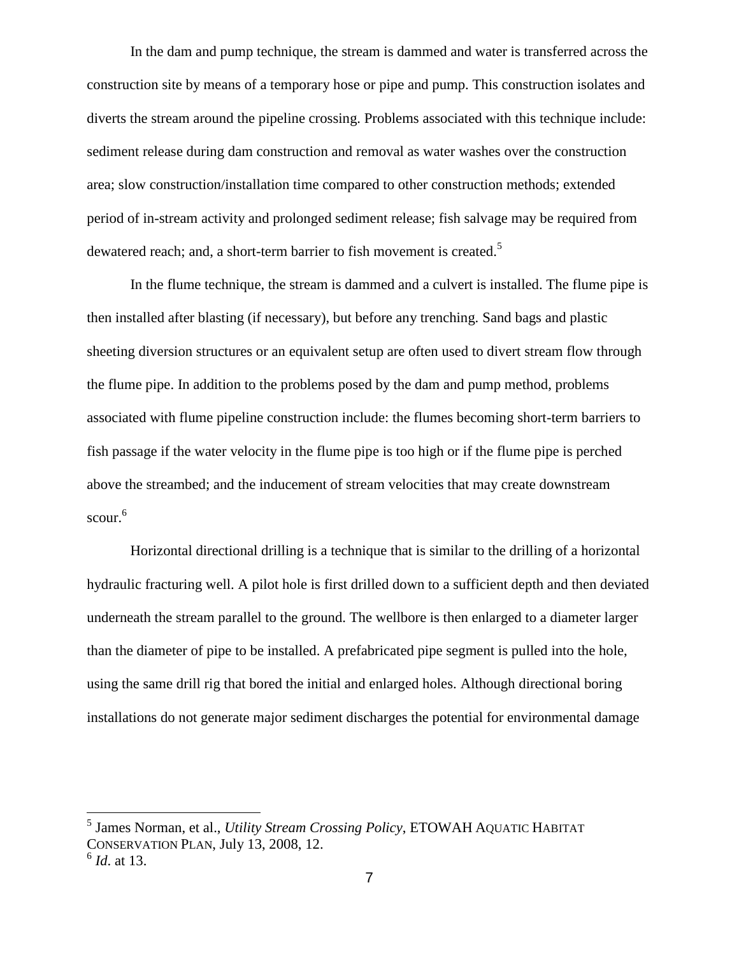In the dam and pump technique, the stream is dammed and water is transferred across the construction site by means of a temporary hose or pipe and pump. This construction isolates and diverts the stream around the pipeline crossing. Problems associated with this technique include: sediment release during dam construction and removal as water washes over the construction area; slow construction/installation time compared to other construction methods; extended period of in-stream activity and prolonged sediment release; fish salvage may be required from dewatered reach; and, a short-term barrier to fish movement is created.<sup>5</sup>

In the flume technique, the stream is dammed and a culvert is installed. The flume pipe is then installed after blasting (if necessary), but before any trenching. Sand bags and plastic sheeting diversion structures or an equivalent setup are often used to divert stream flow through the flume pipe. In addition to the problems posed by the dam and pump method, problems associated with flume pipeline construction include: the flumes becoming short-term barriers to fish passage if the water velocity in the flume pipe is too high or if the flume pipe is perched above the streambed; and the inducement of stream velocities that may create downstream scour. 6

Horizontal directional drilling is a technique that is similar to the drilling of a horizontal hydraulic fracturing well. A pilot hole is first drilled down to a sufficient depth and then deviated underneath the stream parallel to the ground. The wellbore is then enlarged to a diameter larger than the diameter of pipe to be installed. A prefabricated pipe segment is pulled into the hole, using the same drill rig that bored the initial and enlarged holes. Although directional boring installations do not generate major sediment discharges the potential for environmental damage

<sup>5</sup> James Norman, et al., *Utility Stream Crossing Policy*, ETOWAH AQUATIC HABITAT CONSERVATION PLAN, July 13, 2008, 12.

<sup>6</sup> *Id*. at 13.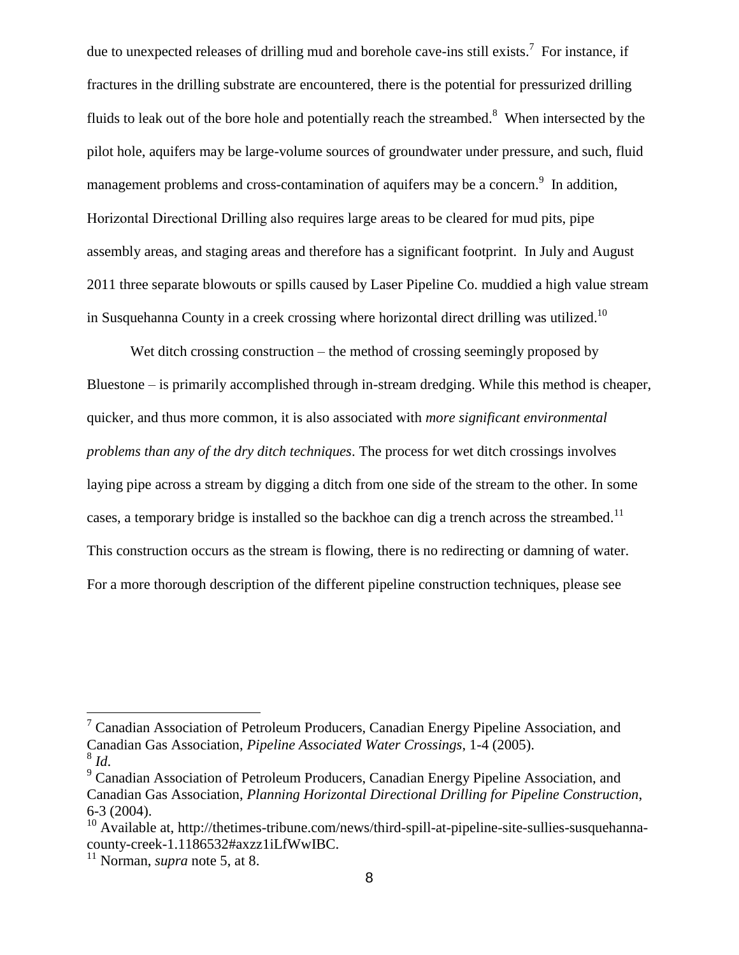due to unexpected releases of drilling mud and borehole cave-ins still exists.<sup>7</sup> For instance, if fractures in the drilling substrate are encountered, there is the potential for pressurized drilling fluids to leak out of the bore hole and potentially reach the streambed.<sup>8</sup> When intersected by the pilot hole, aquifers may be large-volume sources of groundwater under pressure, and such, fluid management problems and cross-contamination of aquifers may be a concern.<sup>9</sup> In addition, Horizontal Directional Drilling also requires large areas to be cleared for mud pits, pipe assembly areas, and staging areas and therefore has a significant footprint. In July and August 2011 three separate blowouts or spills caused by Laser Pipeline Co. muddied a high value stream in Susquehanna County in a creek crossing where horizontal direct drilling was utilized.<sup>10</sup>

Wet ditch crossing construction – the method of crossing seemingly proposed by Bluestone – is primarily accomplished through in-stream dredging. While this method is cheaper, quicker, and thus more common, it is also associated with *more significant environmental problems than any of the dry ditch techniques*. The process for wet ditch crossings involves laying pipe across a stream by digging a ditch from one side of the stream to the other. In some cases, a temporary bridge is installed so the backhoe can dig a trench across the streambed.<sup>11</sup> This construction occurs as the stream is flowing, there is no redirecting or damning of water. For a more thorough description of the different pipeline construction techniques, please see

 $<sup>7</sup>$  Canadian Association of Petroleum Producers, Canadian Energy Pipeline Association, and</sup> Canadian Gas Association, *Pipeline Associated Water Crossings*, 1-4 (2005). 8 *Id*.

<sup>9</sup> Canadian Association of Petroleum Producers, Canadian Energy Pipeline Association, and Canadian Gas Association, *Planning Horizontal Directional Drilling for Pipeline Construction*, 6-3 (2004).

 $10$  Available at, http://thetimes-tribune.com/news/third-spill-at-pipeline-site-sullies-susquehannacounty-creek-1.1186532#axzz1iLfWwIBC.

<sup>&</sup>lt;sup>11</sup> Norman, *supra* note 5, at 8.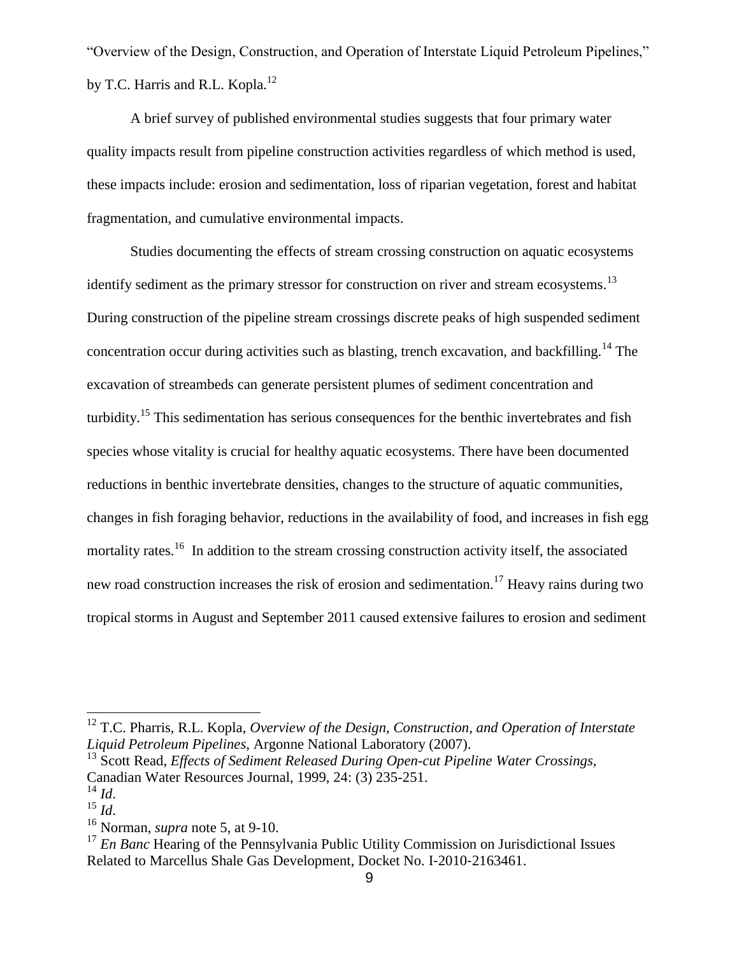"Overview of the Design, Construction, and Operation of Interstate Liquid Petroleum Pipelines," by T.C. Harris and R.L. Kopla.<sup>12</sup>

A brief survey of published environmental studies suggests that four primary water quality impacts result from pipeline construction activities regardless of which method is used, these impacts include: erosion and sedimentation, loss of riparian vegetation, forest and habitat fragmentation, and cumulative environmental impacts.

Studies documenting the effects of stream crossing construction on aquatic ecosystems identify sediment as the primary stressor for construction on river and stream ecosystems.<sup>13</sup> During construction of the pipeline stream crossings discrete peaks of high suspended sediment concentration occur during activities such as blasting, trench excavation, and backfilling.<sup>14</sup> The excavation of streambeds can generate persistent plumes of sediment concentration and turbidity.<sup>15</sup> This sedimentation has serious consequences for the benthic invertebrates and fish species whose vitality is crucial for healthy aquatic ecosystems. There have been documented reductions in benthic invertebrate densities, changes to the structure of aquatic communities, changes in fish foraging behavior, reductions in the availability of food, and increases in fish egg mortality rates.<sup>16</sup> In addition to the stream crossing construction activity itself, the associated new road construction increases the risk of erosion and sedimentation.<sup>17</sup> Heavy rains during two tropical storms in August and September 2011 caused extensive failures to erosion and sediment

<sup>12</sup> T.C. Pharris, R.L. Kopla, *Overview of the Design, Construction, and Operation of Interstate Liquid Petroleum Pipelines*, Argonne National Laboratory (2007).

<sup>&</sup>lt;sup>13</sup> Scott Read, *Effects of Sediment Released During Open-cut Pipeline Water Crossings,* Canadian Water Resources Journal, 1999, 24: (3) 235-251.

 $^{14}$  *Id.* 

<sup>15</sup> *Id*.

<sup>16</sup> Norman, *supra* note 5, at 9-10.

<sup>&</sup>lt;sup>17</sup> *En Banc* Hearing of the Pennsylvania Public Utility Commission on Jurisdictional Issues Related to Marcellus Shale Gas Development, Docket No. I‐2010‐2163461.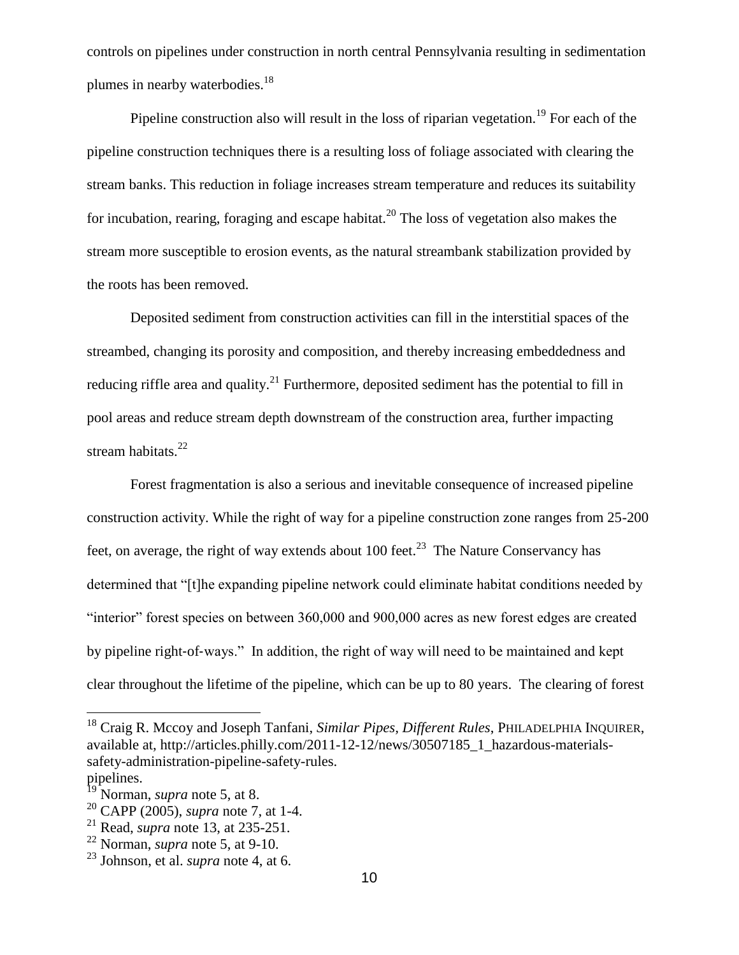controls on pipelines under construction in north central Pennsylvania resulting in sedimentation plumes in nearby waterbodies.<sup>18</sup>

Pipeline construction also will result in the loss of riparian vegetation.<sup>19</sup> For each of the pipeline construction techniques there is a resulting loss of foliage associated with clearing the stream banks. This reduction in foliage increases stream temperature and reduces its suitability for incubation, rearing, foraging and escape habitat.<sup>20</sup> The loss of vegetation also makes the stream more susceptible to erosion events, as the natural streambank stabilization provided by the roots has been removed.

Deposited sediment from construction activities can fill in the interstitial spaces of the streambed, changing its porosity and composition, and thereby increasing embeddedness and reducing riffle area and quality.<sup>21</sup> Furthermore, deposited sediment has the potential to fill in pool areas and reduce stream depth downstream of the construction area, further impacting stream habitats.<sup>22</sup>

Forest fragmentation is also a serious and inevitable consequence of increased pipeline construction activity. While the right of way for a pipeline construction zone ranges from 25-200 feet, on average, the right of way extends about 100 feet.<sup>23</sup> The Nature Conservancy has determined that "[t]he expanding pipeline network could eliminate habitat conditions needed by "interior" forest species on between 360,000 and 900,000 acres as new forest edges are created by pipeline right‐of‐ways." In addition, the right of way will need to be maintained and kept clear throughout the lifetime of the pipeline, which can be up to 80 years. The clearing of forest

<sup>18</sup> Craig R. Mccoy and Joseph Tanfani, *Similar Pipes, Different Rules*, PHILADELPHIA INQUIRER, available at, http://articles.philly.com/2011-12-12/news/30507185\_1\_hazardous-materialssafety-administration-pipeline-safety-rules. pipelines.

Norman, *supra* note 5, at 8.

<sup>20</sup> CAPP (2005), *supra* note 7, at 1-4.

<sup>21</sup> Read, *supra* note 13, at 235-251.

<sup>22</sup> Norman, *supra* note 5, at 9-10.

<sup>23</sup> Johnson, et al. *supra* note 4, at 6.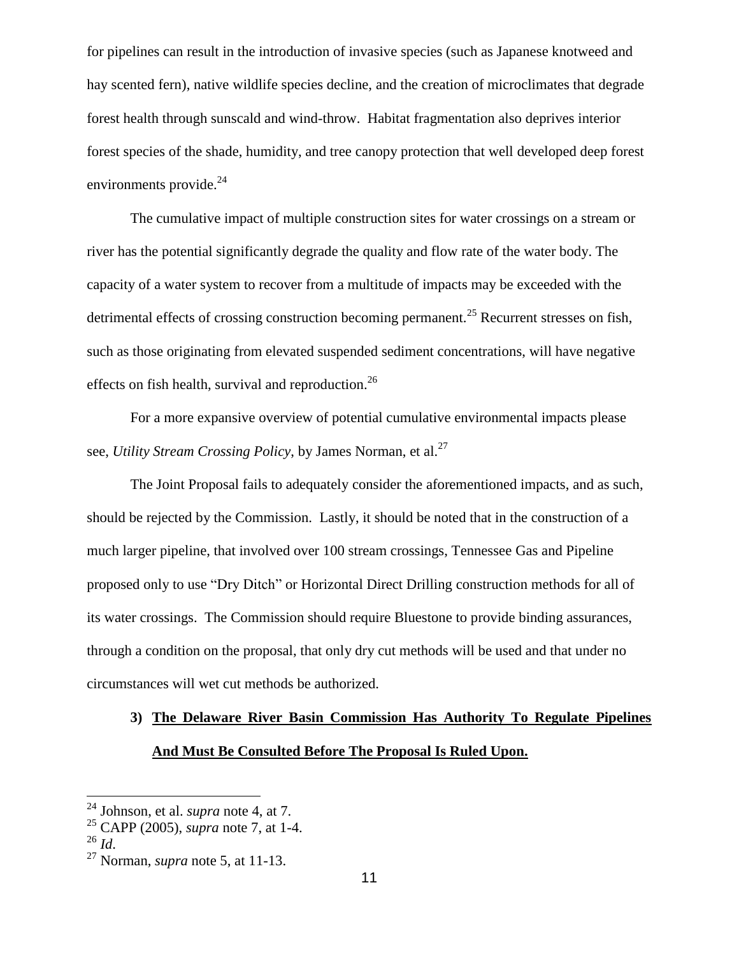for pipelines can result in the introduction of invasive species (such as Japanese knotweed and hay scented fern), native wildlife species decline, and the creation of microclimates that degrade forest health through sunscald and wind-throw. Habitat fragmentation also deprives interior forest species of the shade, humidity, and tree canopy protection that well developed deep forest environments provide.<sup>24</sup>

The cumulative impact of multiple construction sites for water crossings on a stream or river has the potential significantly degrade the quality and flow rate of the water body. The capacity of a water system to recover from a multitude of impacts may be exceeded with the detrimental effects of crossing construction becoming permanent.<sup>25</sup> Recurrent stresses on fish, such as those originating from elevated suspended sediment concentrations, will have negative effects on fish health, survival and reproduction.<sup>26</sup>

For a more expansive overview of potential cumulative environmental impacts please see, *Utility Stream Crossing Policy*, by James Norman, et al.<sup>27</sup>

The Joint Proposal fails to adequately consider the aforementioned impacts, and as such, should be rejected by the Commission. Lastly, it should be noted that in the construction of a much larger pipeline, that involved over 100 stream crossings, Tennessee Gas and Pipeline proposed only to use "Dry Ditch" or Horizontal Direct Drilling construction methods for all of its water crossings. The Commission should require Bluestone to provide binding assurances, through a condition on the proposal, that only dry cut methods will be used and that under no circumstances will wet cut methods be authorized.

# **3) The Delaware River Basin Commission Has Authority To Regulate Pipelines And Must Be Consulted Before The Proposal Is Ruled Upon.**

<sup>24</sup> Johnson, et al. *supra* note 4, at 7.

<sup>25</sup> CAPP (2005), *supra* note 7, at 1-4.

 $^{26}$  *Id.* 

<sup>27</sup> Norman, *supra* note 5, at 11-13.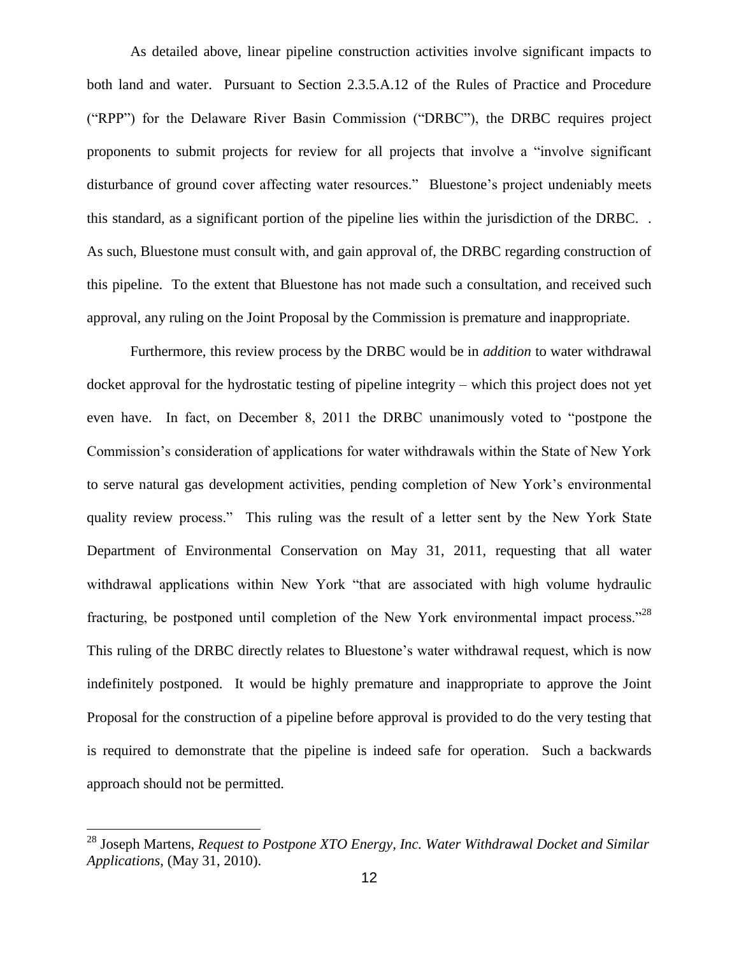As detailed above, linear pipeline construction activities involve significant impacts to both land and water. Pursuant to Section 2.3.5.A.12 of the Rules of Practice and Procedure ("RPP") for the Delaware River Basin Commission ("DRBC"), the DRBC requires project proponents to submit projects for review for all projects that involve a "involve significant disturbance of ground cover affecting water resources." Bluestone's project undeniably meets this standard, as a significant portion of the pipeline lies within the jurisdiction of the DRBC. . As such, Bluestone must consult with, and gain approval of, the DRBC regarding construction of this pipeline. To the extent that Bluestone has not made such a consultation, and received such approval, any ruling on the Joint Proposal by the Commission is premature and inappropriate.

Furthermore, this review process by the DRBC would be in *addition* to water withdrawal docket approval for the hydrostatic testing of pipeline integrity – which this project does not yet even have. In fact, on December 8, 2011 the DRBC unanimously voted to "postpone the Commission's consideration of applications for water withdrawals within the State of New York to serve natural gas development activities, pending completion of New York's environmental quality review process." This ruling was the result of a letter sent by the New York State Department of Environmental Conservation on May 31, 2011, requesting that all water withdrawal applications within New York "that are associated with high volume hydraulic fracturing, be postponed until completion of the New York environmental impact process."<sup>28</sup> This ruling of the DRBC directly relates to Bluestone's water withdrawal request, which is now indefinitely postponed. It would be highly premature and inappropriate to approve the Joint Proposal for the construction of a pipeline before approval is provided to do the very testing that is required to demonstrate that the pipeline is indeed safe for operation. Such a backwards approach should not be permitted.

<sup>&</sup>lt;sup>28</sup> Joseph Martens, *Request to Postpone XTO Energy, Inc. Water Withdrawal Docket and Similar Applications*, (May 31, 2010).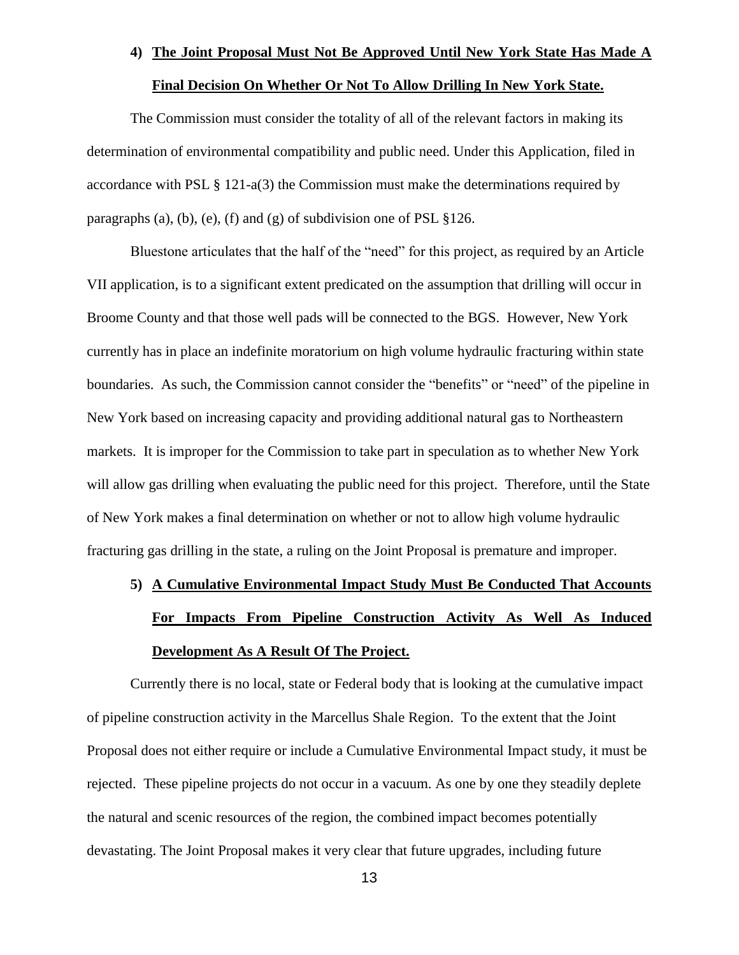#### **4) The Joint Proposal Must Not Be Approved Until New York State Has Made A**

### **Final Decision On Whether Or Not To Allow Drilling In New York State.**

The Commission must consider the totality of all of the relevant factors in making its determination of environmental compatibility and public need. Under this Application, filed in accordance with PSL § 121-a(3) the Commission must make the determinations required by paragraphs (a), (b), (e), (f) and (g) of subdivision one of PSL  $\S 126$ .

Bluestone articulates that the half of the "need" for this project, as required by an Article VII application, is to a significant extent predicated on the assumption that drilling will occur in Broome County and that those well pads will be connected to the BGS. However, New York currently has in place an indefinite moratorium on high volume hydraulic fracturing within state boundaries. As such, the Commission cannot consider the "benefits" or "need" of the pipeline in New York based on increasing capacity and providing additional natural gas to Northeastern markets. It is improper for the Commission to take part in speculation as to whether New York will allow gas drilling when evaluating the public need for this project. Therefore, until the State of New York makes a final determination on whether or not to allow high volume hydraulic fracturing gas drilling in the state, a ruling on the Joint Proposal is premature and improper.

# **5) A Cumulative Environmental Impact Study Must Be Conducted That Accounts For Impacts From Pipeline Construction Activity As Well As Induced Development As A Result Of The Project.**

Currently there is no local, state or Federal body that is looking at the cumulative impact of pipeline construction activity in the Marcellus Shale Region. To the extent that the Joint Proposal does not either require or include a Cumulative Environmental Impact study, it must be rejected. These pipeline projects do not occur in a vacuum. As one by one they steadily deplete the natural and scenic resources of the region, the combined impact becomes potentially devastating. The Joint Proposal makes it very clear that future upgrades, including future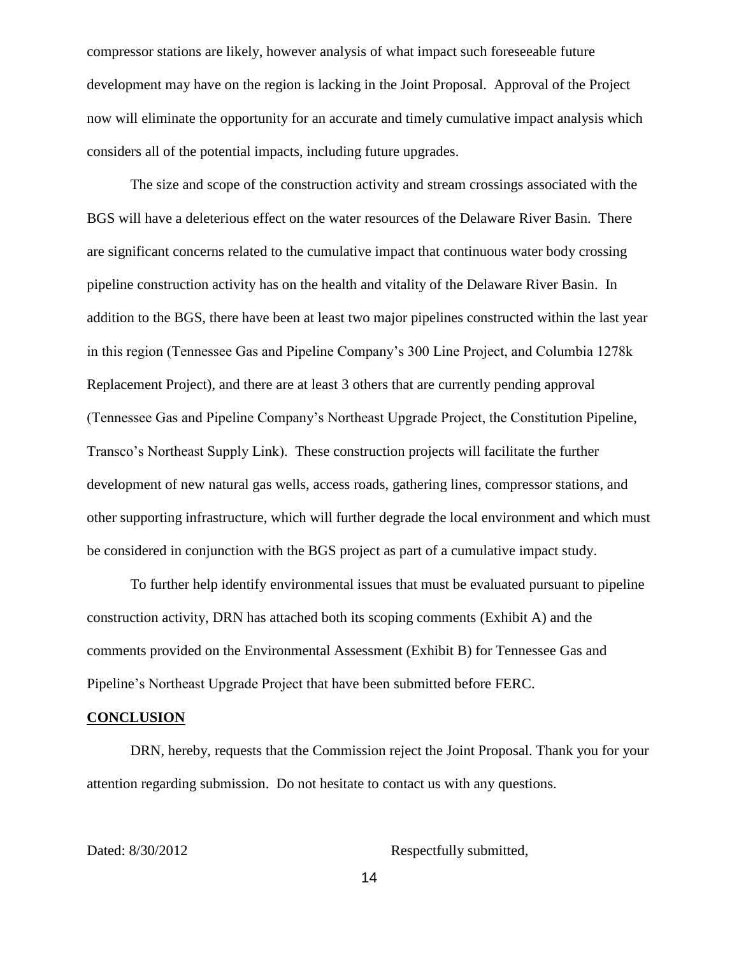compressor stations are likely, however analysis of what impact such foreseeable future development may have on the region is lacking in the Joint Proposal. Approval of the Project now will eliminate the opportunity for an accurate and timely cumulative impact analysis which considers all of the potential impacts, including future upgrades.

The size and scope of the construction activity and stream crossings associated with the BGS will have a deleterious effect on the water resources of the Delaware River Basin. There are significant concerns related to the cumulative impact that continuous water body crossing pipeline construction activity has on the health and vitality of the Delaware River Basin. In addition to the BGS, there have been at least two major pipelines constructed within the last year in this region (Tennessee Gas and Pipeline Company's 300 Line Project, and Columbia 1278k Replacement Project), and there are at least 3 others that are currently pending approval (Tennessee Gas and Pipeline Company's Northeast Upgrade Project, the Constitution Pipeline, Transco's Northeast Supply Link). These construction projects will facilitate the further development of new natural gas wells, access roads, gathering lines, compressor stations, and other supporting infrastructure, which will further degrade the local environment and which must be considered in conjunction with the BGS project as part of a cumulative impact study.

To further help identify environmental issues that must be evaluated pursuant to pipeline construction activity, DRN has attached both its scoping comments (Exhibit A) and the comments provided on the Environmental Assessment (Exhibit B) for Tennessee Gas and Pipeline's Northeast Upgrade Project that have been submitted before FERC.

#### **CONCLUSION**

DRN, hereby, requests that the Commission reject the Joint Proposal. Thank you for your attention regarding submission. Do not hesitate to contact us with any questions.

Dated: 8/30/2012 Respectfully submitted,